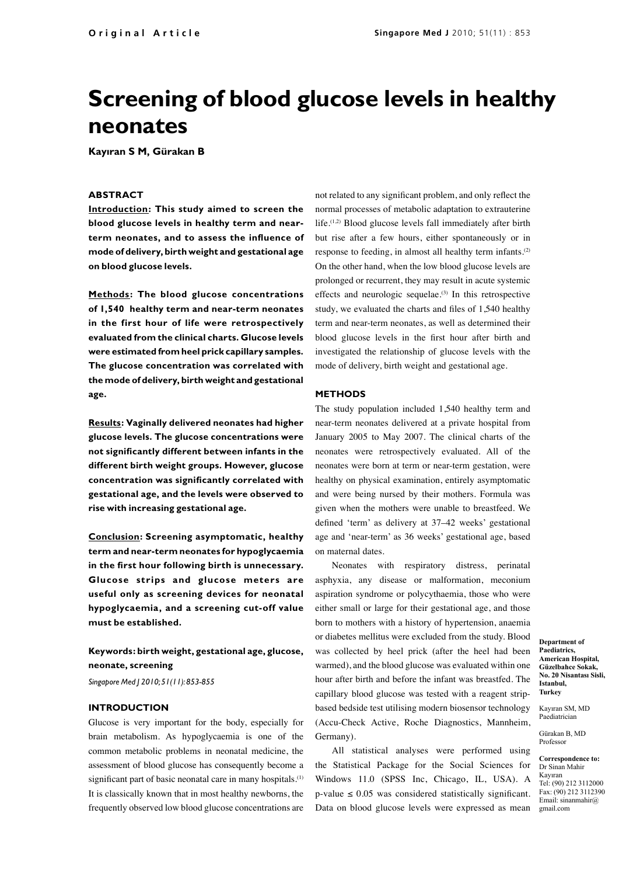# **Screening of blood glucose levels in healthy neonates**

**Kayıran S M, Gürakan B**

#### **ABSTRACT**

**Introduction: This study aimed to screen the blood glucose levels in healthy term and nearterm neonates, and to assess the influence of mode of delivery, birth weight and gestational age on blood glucose levels.**

**Methods: The blood glucose concentrations of 1,540 healthy term and near-term neonates in the first hour of life were retrospectively evaluated from the clinical charts. Glucose levels were estimated from heel prick capillary samples. The glucose concentration was correlated with the mode of delivery, birth weight and gestational age.** 

**Results: Vaginally delivered neonates had higher glucose levels. The glucose concentrations were not significantly different between infants in the different birth weight groups. However, glucose concentration was significantly correlated with gestational age, and the levels were observed to rise with increasing gestational age.** 

**Conclusion: Screening asymptomatic, healthy term and near-term neonates for hypoglycaemia in the first hour following birth is unnecessary. Glucose strips and glucose meters are useful only as screening devices for neonatal hypoglycaemia, and a screening cut-off value must be established.**

## **Keywords: birth weight, gestational age, glucose, neonate, screening**

*Singapore Med J 2010; 51(11): 853-855*

#### **INTRODUCTION**

Glucose is very important for the body, especially for brain metabolism. As hypoglycaemia is one of the common metabolic problems in neonatal medicine, the assessment of blood glucose has consequently become a significant part of basic neonatal care in many hospitals.<sup>(1)</sup> It is classically known that in most healthy newborns, the frequently observed low blood glucose concentrations are

not related to any significant problem, and only reflect the normal processes of metabolic adaptation to extrauterine life.<sup>(1,2)</sup> Blood glucose levels fall immediately after birth but rise after a few hours, either spontaneously or in response to feeding, in almost all healthy term infants.(2) On the other hand, when the low blood glucose levels are prolonged or recurrent, they may result in acute systemic effects and neurologic sequelae. $(3)$  In this retrospective study, we evaluated the charts and files of 1,540 healthy term and near-term neonates, as well as determined their blood glucose levels in the first hour after birth and investigated the relationship of glucose levels with the mode of delivery, birth weight and gestational age.

## **METHODS**

The study population included 1,540 healthy term and near-term neonates delivered at a private hospital from January 2005 to May 2007. The clinical charts of the neonates were retrospectively evaluated. All of the neonates were born at term or near-term gestation, were healthy on physical examination, entirely asymptomatic and were being nursed by their mothers. Formula was given when the mothers were unable to breastfeed. We defined 'term' as delivery at 37–42 weeks' gestational age and 'near-term' as 36 weeks' gestational age, based on maternal dates.

Neonates with respiratory distress, perinatal asphyxia, any disease or malformation, meconium aspiration syndrome or polycythaemia, those who were either small or large for their gestational age, and those born to mothers with a history of hypertension, anaemia or diabetes mellitus were excluded from the study. Blood was collected by heel prick (after the heel had been warmed), and the blood glucose was evaluated within one hour after birth and before the infant was breastfed. The capillary blood glucose was tested with a reagent stripbased bedside test utilising modern biosensor technology (Accu-Check Active, Roche Diagnostics, Mannheim, Germany).

All statistical analyses were performed using the Statistical Package for the Social Sciences for Windows 11.0 (SPSS Inc, Chicago, IL, USA). A p-value  $\leq 0.05$  was considered statistically significant. Data on blood glucose levels were expressed as mean

**Department of Paediatrics, American Hospital, Güzelbahce Sokak, No. 20 Nisantası Sisli, Istanbul, Turkey**

Kayıran SM, MD Paediatrician

Gürakan B, MD Professor

**Correspondence to:**  Dr Sinan Mahir Kayıran Tel: (90) 212 3112000 Fax: (90) 212 3112390 Email: sinanmahir@ gmail.com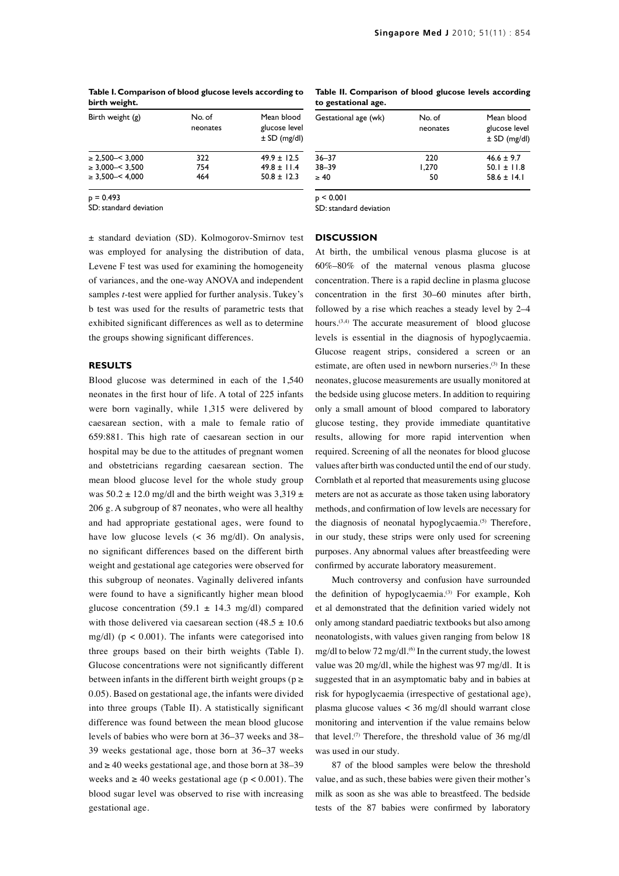| <b>DILTIL MEITH'</b>       |                    |                                                 |
|----------------------------|--------------------|-------------------------------------------------|
| Birth weight (g)           | No. of<br>neonates | Mean blood<br>glucose level<br>$\pm$ SD (mg/dl) |
| $\geq$ 2.500 $-$ 3.000     | 322                | $49.9 \pm 12.5$                                 |
| $\geq$ 3.000 - < 3.500     | 754                | $49.8 \pm 11.4$                                 |
| $\geq$ 3.500- $\leq$ 4.000 | 464                | $50.8 \pm 12.3$                                 |

**Table I. Comparison of blood glucose levels according to birth weight.**

 $p = 0.493$ 

SD: standard deviation

**Table II. Comparison of blood glucose levels according to gestational age.**

| Gestational age (wk) | No. of<br>neonates | Mean blood<br>glucose level<br>$\pm$ SD (mg/dl) |
|----------------------|--------------------|-------------------------------------------------|
| $36 - 37$            | 220                | $46.6 \pm 9.7$                                  |
| $38 - 39$            | 1.270              | $50.1 \pm 11.8$                                 |
| $\geq 40$            | 50                 | $58.6 \pm 14.1$                                 |

 $p < 0.001$ 

SD: standard deviation

± standard deviation (SD). Kolmogorov-Smirnov test was employed for analysing the distribution of data, Levene F test was used for examining the homogeneity of variances, and the one-way ANOVA and independent samples *t*-test were applied for further analysis. Tukey's b test was used for the results of parametric tests that exhibited significant differences as well as to determine the groups showing significant differences.

## **RESULTS**

Blood glucose was determined in each of the 1,540 neonates in the first hour of life. A total of 225 infants were born vaginally, while 1,315 were delivered by caesarean section, with a male to female ratio of 659:881. This high rate of caesarean section in our hospital may be due to the attitudes of pregnant women and obstetricians regarding caesarean section. The mean blood glucose level for the whole study group was  $50.2 \pm 12.0$  mg/dl and the birth weight was  $3,319 \pm 12.0$ 206 g. A subgroup of 87 neonates, who were all healthy and had appropriate gestational ages, were found to have low glucose levels  $\langle \langle 36 \rangle$  mg/dl). On analysis, no significant differences based on the different birth weight and gestational age categories were observed for this subgroup of neonates. Vaginally delivered infants were found to have a significantly higher mean blood glucose concentration (59.1  $\pm$  14.3 mg/dl) compared with those delivered via caesarean section  $(48.5 \pm 10.6$ mg/dl) ( $p < 0.001$ ). The infants were categorised into three groups based on their birth weights (Table I). Glucose concentrations were not significantly different between infants in the different birth weight groups ( $p \ge$ 0.05). Based on gestational age, the infants were divided into three groups (Table II). A statistically significant difference was found between the mean blood glucose levels of babies who were born at 36–37 weeks and 38– 39 weeks gestational age, those born at 36–37 weeks and  $\geq$  40 weeks gestational age, and those born at 38–39 weeks and  $\geq 40$  weeks gestational age ( $p < 0.001$ ). The blood sugar level was observed to rise with increasing gestational age.

## **DISCUSSION**

At birth, the umbilical venous plasma glucose is at 60%–80% of the maternal venous plasma glucose concentration. There is a rapid decline in plasma glucose concentration in the first 30–60 minutes after birth, followed by a rise which reaches a steady level by 2–4 hours.<sup>(3,4)</sup> The accurate measurement of blood glucose levels is essential in the diagnosis of hypoglycaemia. Glucose reagent strips, considered a screen or an estimate, are often used in newborn nurseries.<sup>(3)</sup> In these neonates, glucose measurements are usually monitored at the bedside using glucose meters. In addition to requiring only a small amount of blood compared to laboratory glucose testing, they provide immediate quantitative results, allowing for more rapid intervention when required. Screening of all the neonates for blood glucose values after birth was conducted until the end of our study. Cornblath et al reported that measurements using glucose meters are not as accurate as those taken using laboratory methods, and confirmation of low levels are necessary for the diagnosis of neonatal hypoglycaemia.<sup>(5)</sup> Therefore, in our study, these strips were only used for screening purposes. Any abnormal values after breastfeeding were confirmed by accurate laboratory measurement.

Much controversy and confusion have surrounded the definition of hypoglycaemia.<sup>(3)</sup> For example, Koh et al demonstrated that the definition varied widely not only among standard paediatric textbooks but also among neonatologists, with values given ranging from below 18 mg/dl to below 72 mg/dl. $^{(6)}$  In the current study, the lowest value was 20 mg/dl, while the highest was 97 mg/dl. It is suggested that in an asymptomatic baby and in babies at risk for hypoglycaemia (irrespective of gestational age), plasma glucose values < 36 mg/dl should warrant close monitoring and intervention if the value remains below that level.<sup>(7)</sup> Therefore, the threshold value of 36 mg/dl was used in our study.

87 of the blood samples were below the threshold value, and as such, these babies were given their mother's milk as soon as she was able to breastfeed. The bedside tests of the 87 babies were confirmed by laboratory